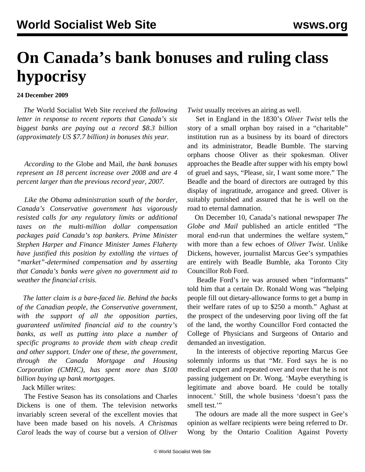## **On Canada's bank bonuses and ruling class hypocrisy**

## **24 December 2009**

 *The* World Socialist Web Site *received the following letter in response to recent reports that Canada's six biggest banks are paying out a record \$8.3 billion (approximately US \$7.7 billion) in bonuses this year.* 

 *According to the* Globe and Mail*, the bank bonuses represent an 18 percent increase over 2008 and are 4 percent larger than the previous record year, 2007.* 

 *Like the Obama administration south of the border, Canada's Conservative government has vigorously resisted calls for any regulatory limits or additional taxes on the multi-million dollar compensation packages paid Canada's top bankers. Prime Minister Stephen Harper and Finance Minister James Flaherty have justified this position by extolling the virtues of "market"-determined compensation and by asserting that Canada's banks were given no government aid to weather the financial crisis.* 

 *The latter claim is a bare-faced lie. Behind the backs of the Canadian people, the Conservative government, with the support of all the opposition parties, guaranteed unlimited financial aid to the country's banks, as well as putting into place a number of specific programs to provide them with cheap credit and other support. Under one of these, the government, through the Canada Mortgage and Housing Corporation (CMHC), has spent more than \$100 billion buying up bank mortgages.*

Jack Miller writes:

 The Festive Season has its consolations and Charles Dickens is one of them. The television networks invariably screen several of the excellent movies that have been made based on his novels. *A Christmas Carol* leads the way of course but a version of *Oliver* *Twist* usually receives an airing as well.

 Set in England in the 1830's *Oliver Twist* tells the story of a small orphan boy raised in a "charitable" institution run as a business by its board of directors and its administrator, Beadle Bumble. The starving orphans choose Oliver as their spokesman. Oliver approaches the Beadle after supper with his empty bowl of gruel and says, "Please, sir, I want some more." The Beadle and the board of directors are outraged by this display of ingratitude, arrogance and greed. Oliver is suitably punished and assured that he is well on the road to eternal damnation.

 On December 10, Canada's national newspaper *The Globe and Mail* published an article entitled "The moral end-run that undermines the welfare system," with more than a few echoes of *Oliver Twist*. Unlike Dickens, however, journalist Marcus Gee's sympathies are entirely with Beadle Bumble, aka Toronto City Councillor Rob Ford.

 Beadle Ford's ire was aroused when "informants" told him that a certain Dr. Ronald Wong was "helping people fill out dietary-allowance forms to get a bump in their welfare rates of up to \$250 a month." Aghast at the prospect of the undeserving poor living off the fat of the land, the worthy Councillor Ford contacted the College of Physicians and Surgeons of Ontario and demanded an investigation.

 In the interests of objective reporting Marcus Gee solemnly informs us that "Mr. Ford says he is no medical expert and repeated over and over that he is not passing judgement on Dr. Wong. 'Maybe everything is legitimate and above board. He could be totally innocent.' Still, the whole business 'doesn't pass the smell test."

 The odours are made all the more suspect in Gee's opinion as welfare recipients were being referred to Dr. Wong by the Ontario Coalition Against Poverty